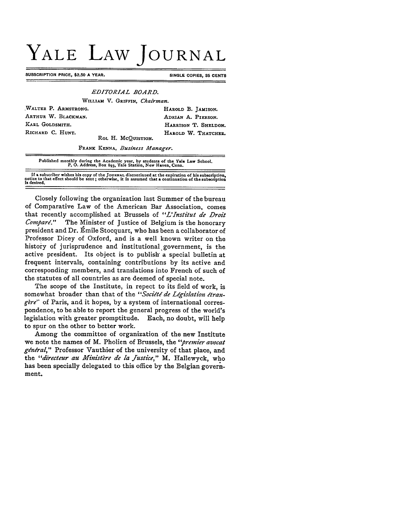# YALE LAW **JOURNAL**

**SUBSCRIPTION PRICE, \$2.50 A YEAR.** SINGLE COPIES, 35 CENTS

## *EDITORIAL BOARD.*

WILLIAM V. GRIFFIN, *Chairman.*

| WALTER P. ARMSTRONG. |                    | HAROLD B. JAMISON.   |
|----------------------|--------------------|----------------------|
| ARTHUR W. BLACKMAN.  |                    | ADRIAN A. PIERSON.   |
| KARL GOLDSMITH.      |                    | HARRISON T. SHELDON. |
| RICHARD C. HUNT.     | ROL H. McQUISTION. | HAROLD W. THATCHER.  |

FRANK KENNA, *Business Manager.*

| Published monthly during the Academic year, by students of the Yale Law School. P. O. Address, Box 893, Yale Station, New Haven, Conn. |  |  |  |  |  |  |  |  |  |  |  |  |  |  |  |  |
|----------------------------------------------------------------------------------------------------------------------------------------|--|--|--|--|--|--|--|--|--|--|--|--|--|--|--|--|
|                                                                                                                                        |  |  |  |  |  |  |  |  |  |  |  |  |  |  |  |  |

If a subscriber wishes his copy of the JOURNAL discontinued at the expiration of his subscription, notice to that effect should be **sent;** otherwise, it is assumed that a continuation of the subscription is desired.

Closely following the organization last Summer of the bureau of Comparative Law of the American Bar Association, comes that recently accomplished at Brussels of *"L'Institut de Droit Compare.*" The Minister of Justice of Belgium is the honorary president and Dr. Émile Stocquart, who has been a collaborator of Professor Dicey of Oxford, and is a well known writer on the history of jurisprudence and institutional. government, is the active president. Its object is to publish a special bulletin at frequent intervals, containing contributions **by** its active and corresponding members, and translations into French of such of the statutes of all countries as are deemed of special note.

The scope of the Institute, in repect to its field of work, is somewhat broader than that of the "Societe de Legislation etrangère" of Paris, and it hopes, by a system of international correspondence, to be able to report the general progress of the world's legislation with greater promptitude. Each, no doubt, will help to spur on the other to better work.

Among the committee of organization of the new Institute we note the names of M. Pholien of Brussels, the *"premier avocat* general," Professor Vauthier of the university of that place, and the "directeur au Ministère de la Justice," M. Hallewyck, who has been specially delegated to this office by the Belgian government.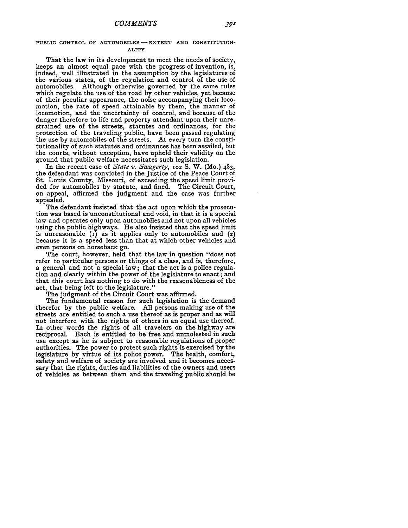#### **PUBLIC** CONTROL **OF AUTOMOBILES -** EXTENT **AND CONSTITUTION-ALITY**

That the law in its development to meet the needs of society, keeps an almost equal pace with the progress of invention, is, indeed, well illustrated in the assumption by the legislatures of the various states, of the regulation and control of the use of automobiles. Although otherwise governed by the same rules which regulate the use of the road **by** other vehicles, yet because of their peculiar appearance, the noise accompanying their locomotion, the rate of speed attainable by them, the manner of locomotion, and the uncertainty of control, and because of the danger therefore to life and property attendant upon their unrestrained use of the streets, statutes and ordinances, for the protection of the traveling public, have been passed regulating the use by automobiles of the streets. At every turn the constitutionality of such statutes and ordinances has been assailed, but the courts, without exception, have upheld their validity on the ground that public welfare necessitates such legislation.

In the recent case of *State v. Swagerty,* **102** S. W. (Mo.) 483, the defendant was convicted in the Justice of the Peace Court of St. Louis County, Missouri, of exceeding the speed limit provided for automobiles by statute, and fined. The Circuit Court, on appeal, affirmed the judgment and the case was further appealed.

The defendant insisted that the act upon which the prosecution was based is 'unconstitutional and void, in that it is a special law and operates only upon automobiles and not upon all vehicles using the public highways. He also insisted that the speed limit is unreasonable **(i)** as it applies only to automobiles and (2) because it is a speed less than that at which other vehicles and even persons on horseback go.

The court, however, held that the law in question "does not refer to particular persons or things of a class, and is, therefore, a general and not a special law; that the act is a police regulation and clearly within the power of the legislature to enact; and that this court has nothing to do with the reasonableness of the act, that being left to the legislature."

The judgment of the Circuit Court was affirmed.

The fundamental reason for such legislation is the demand therefor by the public welfare. All persons making use of the streets are entitled to such a use thereof as is proper and as will not interfere with the rights of others in an equal use thereof. In other words the rights of all travelers on the highway are reciprocal. Each is entitled to be free and unmolested in such use except as he is subject to reasonable regulations of proper authorities. The power to protect such rights is exercised by the legislature by virtue of its police power. The health, comfort, safety and welfare of society are involved and it becomes necessary that the rights, duties and liabilities of the owners and users of vehicles as between them and the traveling public should be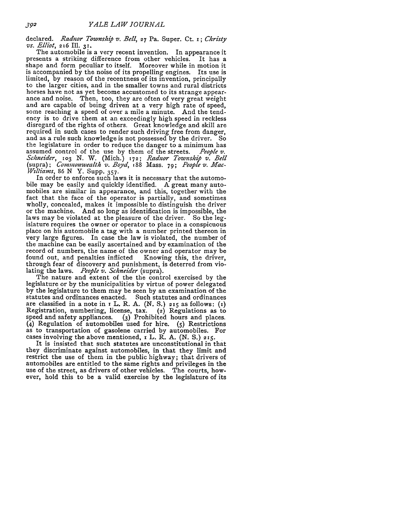declared. *Radnor Township v. Bell,* **27** Pa. Super. Ct. **i;** *Christy* vs. *Elliot,* **216** Ill. 3!.

The automobile is a very recent invention. In appearance it presents a striking difference from other vehicles. It has a shape and form peculiar to itself. Moreover while in motion it is accompanied by the noise of its propelling engines. Its use is limited, by reason of the recentness of its invention, principally to the larger cities, and in the smaller towns and rural districts horses have not as yet become accustomed to its strange appearance and noise. Then, too, they are often of very great weight and are capable of being driven at a very high rate of speed, some reaching a speed of over a mile a minute. And the tendency is to drive them at an exceedingly high speed in reckless disregard of the rights of others. Great knowledge and skill are required in such cases to render such driving free from danger, and as a rule such knowledge is not possessed by the driver. So the legislature in order to reduce the danger to a minimum has assumed control of the use by them of the streets. *People v. Schneider,* **103** *N.* W. (Mich.) **172;** *Radnor Township v. Bell* (supra); *Commonwealth v. Boyd,* **t88** Mass. 79; *People v. Mac-Williams,* 86 N Y. Supp. 357.

In order to enforce such laws it is necessary that the automobile may be easily and quickly identified. A great many automobiles are similar in appearance, and this, together with the fact that the face of the operator is partially, and sometimes wholly, concealed, makes it impossible to distinguish the driver or the machine. And so long as identification is impossible, the laws may be violated at the pleasure of the driver. So the legislature requires the owner or operator to place in a conspicuous place on his automobile a tag with a number printed thereon in very large figures. In case the law is violated, the number of the machine can be easily ascertained and by examination of the record of numbers, the name of the owner and operator may be found out, and penalties inflicted Knowing this, the driver, found out, and penalties inflicted through fear of discovery and punishment, is deterred from violating the laws. *People v. Schneider* (supra).

The nature and extent of the the control exercised by the legislature or by the municipalities by virtue of power delegated by the legislature to them may be seen by an examination of the statutes and ordinances enacted. Such statutes and ordinances are classified in a note in **r** L. R. **A.** (N. S.) **215** as follows: **(i)** Registration, numbering, license, tax. (2) Regulations as to speed and safety appliances. (3) Prohibited hours and places. (4) Regulation of automobiles used for hire. **(5)** Restrictions as to transportation of gasolene carried by automobiles. For cases involving the above mentioned, **i** L. R. A. (N. **S.) 215.**

It is insisted that such statutes are unconstitutional in that they discriminate against automobiles, in that they limit and restrict the use of them in the public highway; that drivers of automobiles are entitled to the same rights and privileges in the use of the street, as drivers of other vehicles. The courts, however, hold this to be a valid exercise by the legislature of its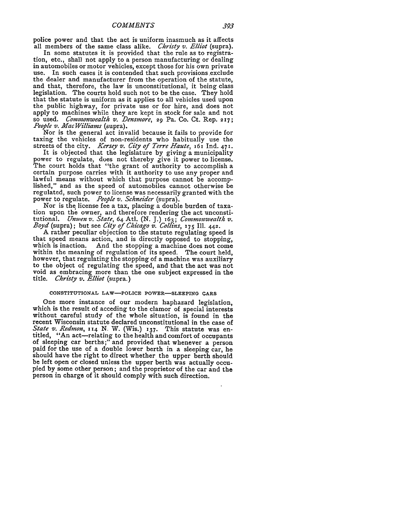police power and that the act is uniform inasmuch as it affects all members of the same class alike. *Christy v. Elliot* (supra).

In some statutes it is provided that the rule as to registration, etc., shall not apply to a person manufacturing or dealing in automobiles or motor vehicles, except those for his own private use. In such cases it is contended that such provisions exclude the dealer and manufacturer from the operation of the statute, and that, therefore, the law is unconstitutional, it being class legislation. The courts hold such not to be the case. They hold that the statute is uniform as it applies to all vehicles used upon the public highway, for private use or for hire, and does not apply to machines while they are kept in stock for sale and not so used. *Commonwealtht v. Densmore,* **29** Pa. Co. Ct. Rep. **217;** *People v. Mac Williams* (supra).

Nor is the general act invalid because it fails to provide for taxing the vehicles of non-residents who habitually use the streets of the city. *Kersey v. City of Terre Haute, 16* 1 Ind. 47 1.

It is objected that the legislature by giving a municipality power to regulate, does not thereby give it power to license. The court holds that "the grant of authority to accomplish a certain purpose carries with it authority to use any proper and lawful means without which that purpose cannot be accomplished," and as the speed of automobiles cannot otherwise be regulated, such power to license was necessarily granted with the power to regulate. *People v. Schneider* (supra).

Nor is the license fee a tax, placing a double burden of taxation upon the owner, and therefore rendering the act unconstitutional. *Unwen v. State, 64* Atl. (N. J.) **163;** *Commonwealth v. Boyd* (supra); but see *City of Chicago v. Collins,* **175** Ill. **442.**

A rather peculiar objection to the statute regulating speed is that speed means action, and is directly opposed to stopping, which is inaction. And the stopping a machine does not come And the stopping a machine does not come within the meaning of regulation of its speed. The court held, however, that regulating the stopping of a machine was auxiliary to the object of regulating the speed, and that the act was not void as embracing more than the one subject expressed in the title. *Christy v. Elliot* (supra.)

### **CONSTITUTIONAL LAW-POLICE** POWER-SLEEPING **CARS**

One more instance of our modern haphazard legislation, which is the result of acceding to the clamor of special interests without careful study of the whole situation, is found in the recent Wisconsin statute declared unconstitutional in the case of *State v. Redmon, 114* N. W. (Wis.) **137.** This statute was entitled, "An act-relating to the health and comfort of occupants of sleeping car berths;" and provided that whenever a person paid for the use of a double lower berth in a sleeping car, he should have the right to direct whether the upper berth should be left open or closed unless the upper berth was actually occupied by some other person; and the proprietor of the car and the person in charge of it should comply with such direction.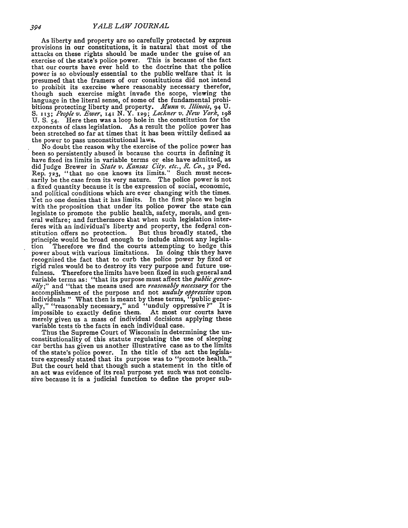As liberty and property are so carefully protected **by** express provisions in our constitutions, it is natural that most of the attacks on these rights should be made under the guise of an exercise of the state's police power. This is because of the fact that our courts have ever held to the doctrine that the police power is so obviously essential to the public welfare that it is presumed that the framers of our constitutions did not intend to prohibit its exercise where reasonably necessary therefor, though such exercise might invade the scope, viewing the language in the literal sense, of some of the fundamental prohibitions protecting liberty and property. *Munn v. Illinois,* 94 **U. S. I3;** *People v. Ewer, 14y N.* Y. **129;** *Lochner v. New York,* **<sup>198</sup>** U. S. 54. Here then was a loop hole in the constitution for the exponents of class legislation. As a result the police power has been stretched so far at times that it has been wittily defined as the power to pass unconstitutional laws.

No doubt the reason why the exercise of the police power has been so persistently abused is because the courts in defining it have fixed its limits in variable terms or else have admitted, as did Judge Brewer in *State v. Kansas City. etc., R. Co.,* **32** Fed. Rep. **723,** "that no one knows its limits." Such must necessarily be the case from its very nature. The police power is not a fixed quantity because it is the expression of social, economic, and political conditions which are ever changing with the times. Yet no one denies that it has limits. In the first place we begin with the proposition that under its police power the state can legislate to promote the public health, safety, morals, and general welfare; and furthermore that when such legislation interferes with an individual's liberty and property, the federal constitution offers no protection. But thus broadly stated, the stitution offers no protection. principle would be broad enough to include almost any legislation Therefore we find the courts attempting to hedge this power about with various limitations. In doing this they have recognized the fact that to curb the police power by fixed or rigid rules would be to destroy its very purpose and future usefulness. Therefore the limits have been fixed in such general and variable terms as: "that its purpose must affect *the public generally;"* and "that the means used are *reasonably necessary* for the accomplishment of the purpose and not *unduly oppressive* upon individuals " What then is meant by these terms, "public generally," "reasonably necessary," and "unduly oppressive **?"** It is impossible to exactly define them. At most our courts have merely given us a mass of individual decisions applying these variable tests to the facts in each individual case.

Thus the Supreme Court of Wisconsin in determining the unconstitutionality of this statute regulating the use of sleeping car berths has given us another illustrative case as to the limits of the state's police power. In the title of the act the legislature expressly stated that its purpose was to "promote health." But the court held that though such a statement in the title of an act was evidence of its real purpose yet such was not conclusive because it is a judicial function to define the proper sub-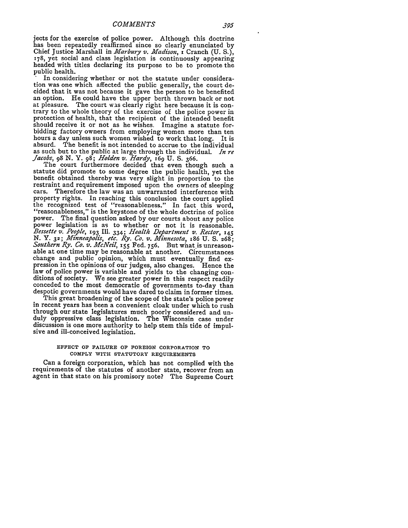jects for the exercise of police power. Although this doctrine has been repeatedly reaffirmed since so clearly enunciated by Chief Justice Marshall in *Marbury v. Madison,* **i** Cranch (U. S.), 178, yet social and class legislation is continuously appearing headed with titles declaring its purpose to be to promote the public health.

In considering whether or not the statute under consideration was one which affected the public generally, the court decided that it was not because it gave the person to be benefited an option. He could have the upper berth thrown back or not at pleasure. The court was clearly right here because it is contrary to the whole theory of the exercise of the police power in protection of health, that the recipient of the intended benefit should receive it or not as he wishes. Imagine a statute forbidding factory owners from employing women more than ten hours a day unless such women wished to work that long. It is absurd. The benefit is not intended to accrue to the individual as such but to the public at large through the individual. *In re Jacobs,* 98 N. Y. 98; *Holden v. Hardy,* **x69** U. S. 366.

The court furthermore decided that even though such a statute did promote to some degree the public health, yet the benefit obtained thereby was very slight in proportion to the restraint and requirement imposed upon the owners of sleeping cars. Therefore the law was an unwarranted interference with property rights. In reaching this conclusion the court applied the recognized test of "reasonableness." In fact this word, "reasonableness," is the keystone of the whole doctrine of police power. The final question asked by our courts about any police power legislation is as to whether or not it is reasonable. *Bessette v. People,* **193** Ill. 334; *Health Department v. Rector,* **<sup>145</sup>** N. Y. *32; Minneapolis, etc. Ry. Co. v. Minnesota,* **i86** U. S. **268;** *Southern Ry. Co. v. McNeil,* **155** Fed. 756. But what is unreasonable at one time may be reasonable at another. Circumstances change and public opinion, which must eventually find expression in the opinions of our judges, also changes. Hence the law of police power is variable and yields to the changing conditions of society. We see greater power in this respect readily conceded to the most democratic of governments to-day than despotic governments would have dared to claim in former times.

This great broadening of the scope of the state's police power in recent years has been a convenient cloak under which to rush through our state legislatures much poorly considered and unduly oppressive class legislation. The Wisconsin case under discussion is one more authority to help stem this tide of impulsive and ill-conceived legislation.

## **EFFECT OF FAILURE OF FOREIGN CORPORATION TO COMPLY WITH STATUTORY REQUIREMENTS**

Can a foreign corporation, which has not complied with the requirements of the statutes of another state, recover from an agent in that state on his promisory note? The Supreme Court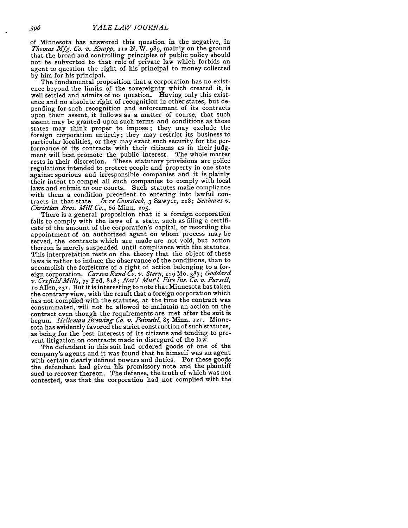of Minnesota has answered this question in the negative, in *Thomas Mfg. Co. v. Knap p,* **12 N.** W. **989,** mainly on the ground that the broad and controlling principles of public policy should not be subverted to that rule of private law which forbids an agent to question the right of his principal to money collected by him for his principal.

The fundamental proposition that a corporation has no existence beyond the limits of the sovereignty which created it, is well settled and admits of no question. Having only this existence and no absolute right of recognition in other states, but depending for such recognition and enforcement of its contracts upon their assent, it follows as a matter of course, that such assent may be granted upon such terms and conditions as those states may think proper to impose ; they may exclude the foreign corporation entirely; they may restrict its business to particular localities, or they may exact such security for the performance of its contracts with their citizens as in their judgment will best promote the public interest. The whole matter rests in their discretion. These statutory provisions are police regulations intended to protect people and property in one state against spurious and irresponsible companies and it is plainly their intent to compel all such companies to comply with local laws and submit to our courts. Such statutes make compliance with them a condition precedent to entering into lawful contracts in that state  $\int n r \, e \,$ Comstock, 3 Sawyer, 218; Seamans v. In re Comstock, 3 Sawyer, 218; Seamans v. *Christian Bros. Mill Co.,* 66 Minn. **205.**

There is a general proposition that if a foreign corporation fails to comply with the laws of a state, such as filing a certificate of the amount of the corporation's capital, or recording the appointment of an authorized agent on whom process may be served, the contracts which are made are not void, but action thereon is merely suspended until compliance with the statutes. This interpretation rests on the theory that the object of these laws is rather to induce the observance of the conditions, than to accomplish the forfeiture of a right of action belonging to a foreign corporation. *Carson Rand Co. v. Stern,* **129** Mo. 387; *Goddard v. CrefieldMills,* 75 Fed. 818; *Nat'l Aut'l. Fire Ins. Co. v. Pursell,* **to** Allen, 231. But it is interesting to note that Minnesota has taken the contrary view, with the result that a foreign corporation which has not complied with the statutes, at the time the contract was consummated, will not be allowed to maintain an action on the contract even though the requirements are met after the suit is begun. *Heileman Brewing Co. v. Peimeisl*, 85 Minn. 121. Minnesota has evidently favored the strict construction of such statutes, as being for the best interests of its citizens and tending to prevent litigation on contracts made in disregard of the law.

The defendant in this suit had ordered goods of one of the company's agents and it was found that he himself was an agent with certain clearly defined powers and duties. For these goods the defendant had given his promissory note and the plaintiff sued to recover thereon. The defense, the truth of which was not contested, was that the corporation had not complied with the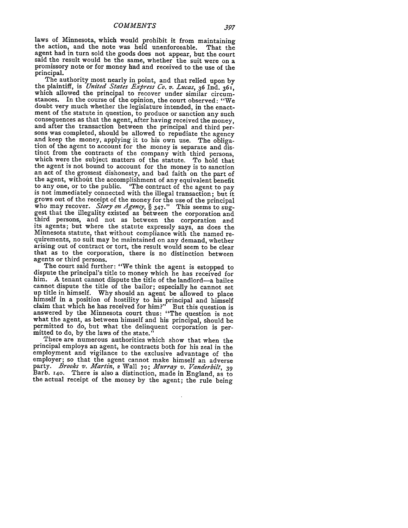laws of Minnesota, which would prohibit it from maintaining the action, and the note was held unenforceable. That the agent had in turn sold the goods does not appear, but the court said the result would be the same, whether the suit were on a promissory note or for money had and received to the use of the

principal.<br>The authority most nearly in point, and that relied upon by the plaintiff, is *United States Express Co. v. Lucas*, 36 Ind. 361, which allowed the principal to recover under similar circumstances. In the course of the opinion, the court observed: "We doubt very much whether the legislature intended, in the enactment of the statute in question, to produce or sanction any such consequences as that the agent, after having received the money, and after the transaction between the principal and third persons was completed, should be allowed to repudiate the agency and keep the money, applying it to his own use. The obligation of the agent to account for the money is separate and distinct from the contracts of the company with third persons, which were the subject matters of the statute. To hold that the agent is not bound to account for the money is to sanction an act of the grossest dishonesty, and bad faith on the part of the agent, without the accomplishment of any equivalent benefit to any one, or to the public. 'The contract of the agent to pay is not immediately connected with the illegal transaction; but it is not immediately connected with the illegal transaction; but it grows out of the receipt of the money for the use of the principal who may recover. *Story on Agency*, § 347." This seems to suggest that the illegality exi third persons, and not as between the corporation and its agents; but where the statute expressly says, as does the Minnesota statute, that without compliance with the named requirements, no suit may be maintained on any demand, whether arising out of contract or tort, the result would seem to be clear that as to the corporation, there is no distinction between agents or third persons.

The court said further: "We think the agent is estopped to dispute the principal's title to money which he has received for him. A tenant cannot dispute the title of the landlord-a bailee cannot dispute the title of the bailor; especially he cannot set up title in himself. Why should an agent be allowed to place himself in a position of hostility to his principal and himself claim that which he has received for him?" But this question is answered by the Minnesota court thus: "The question is not what the agent, as between himself and his principal, should be permitted to do, but what the delinquent corporation is permitted to do, by the laws of the state."

There are numerous authorities which show that when the principal employs an agent, he contracts both for his zeal in the employment and vigilance to the exclusive advantage of the employer; so that the agent cannot make himself an adverse party. *Brooks v. Martin,* 2 Wall **70;** *Murray v. Vanderbilt,* **<sup>39</sup>** Barb. **140.** There is also a distinction, made in England, as to the actual receipt of the money by the agent; the rule being